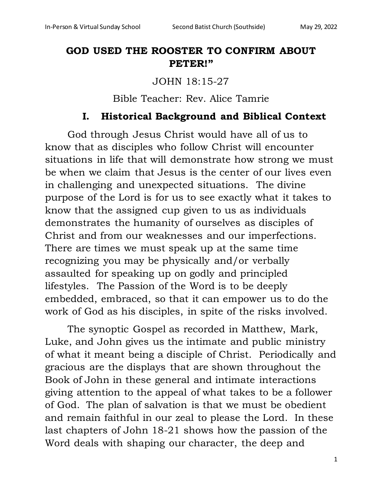# **GOD USED THE ROOSTER TO CONFIRM ABOUT PETER!"**

JOHN 18:15-27

Bible Teacher: Rev. Alice Tamrie

### **I. Historical Background and Biblical Context**

God through Jesus Christ would have all of us to know that as disciples who follow Christ will encounter situations in life that will demonstrate how strong we must be when we claim that Jesus is the center of our lives even in challenging and unexpected situations. The divine purpose of the Lord is for us to see exactly what it takes to know that the assigned cup given to us as individuals demonstrates the humanity of ourselves as disciples of Christ and from our weaknesses and our imperfections. There are times we must speak up at the same time recognizing you may be physically and/or verbally assaulted for speaking up on godly and principled lifestyles. The Passion of the Word is to be deeply embedded, embraced, so that it can empower us to do the work of God as his disciples, in spite of the risks involved.

The synoptic Gospel as recorded in Matthew, Mark, Luke, and John gives us the intimate and public ministry of what it meant being a disciple of Christ. Periodically and gracious are the displays that are shown throughout the Book of John in these general and intimate interactions giving attention to the appeal of what takes to be a follower of God. The plan of salvation is that we must be obedient and remain faithful in our zeal to please the Lord. In these last chapters of John 18-21 shows how the passion of the Word deals with shaping our character, the deep and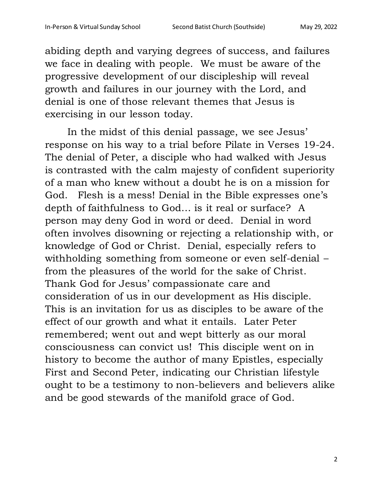abiding depth and varying degrees of success, and failures we face in dealing with people. We must be aware of the progressive development of our discipleship will reveal growth and failures in our journey with the Lord, and denial is one of those relevant themes that Jesus is exercising in our lesson today.

In the midst of this denial passage, we see Jesus' response on his way to a trial before Pilate in Verses 19-24. The denial of Peter, a disciple who had walked with Jesus is contrasted with the calm majesty of confident superiority of a man who knew without a doubt he is on a mission for God. Flesh is a mess! Denial in the Bible expresses one's depth of faithfulness to God… is it real or surface? A person may deny God in word or deed. Denial in word often involves disowning or rejecting a relationship with, or knowledge of God or Christ. Denial, especially refers to withholding something from someone or even self-denial – from the pleasures of the world for the sake of Christ. Thank God for Jesus' compassionate care and consideration of us in our development as His disciple. This is an invitation for us as disciples to be aware of the effect of our growth and what it entails. Later Peter remembered; went out and wept bitterly as our moral consciousness can convict us! This disciple went on in history to become the author of many Epistles, especially First and Second Peter, indicating our Christian lifestyle ought to be a testimony to non-believers and believers alike and be good stewards of the manifold grace of God.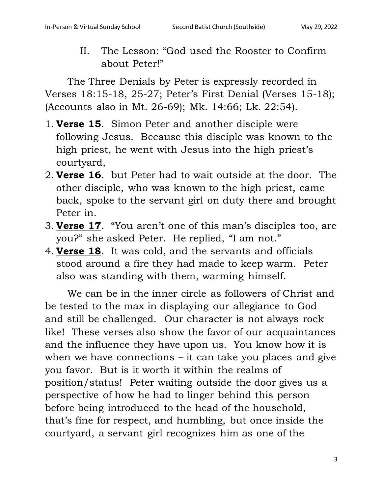II. The Lesson: "God used the Rooster to Confirm about Peter!"

The Three Denials by Peter is expressly recorded in Verses 18:15-18, 25-27; Peter's First Denial (Verses 15-18); (Accounts also in Mt. 26-69); Mk. 14:66; Lk. 22:54).

- 1. **Verse 15**. Simon Peter and another disciple were following Jesus. Because this disciple was known to the high priest, he went with Jesus into the high priest's courtyard,
- 2. **Verse 16**. but Peter had to wait outside at the door. The other disciple, who was known to the high priest, came back, spoke to the servant girl on duty there and brought Peter in.
- 3. **Verse 17**. "You aren't one of this man's disciples too, are you?" she asked Peter. He replied, "I am not."
- 4. **Verse 18**. It was cold, and the servants and officials stood around a fire they had made to keep warm. Peter also was standing with them, warming himself.

We can be in the inner circle as followers of Christ and be tested to the max in displaying our allegiance to God and still be challenged. Our character is not always rock like! These verses also show the favor of our acquaintances and the influence they have upon us. You know how it is when we have connections – it can take you places and give you favor. But is it worth it within the realms of position/status! Peter waiting outside the door gives us a perspective of how he had to linger behind this person before being introduced to the head of the household, that's fine for respect, and humbling, but once inside the courtyard, a servant girl recognizes him as one of the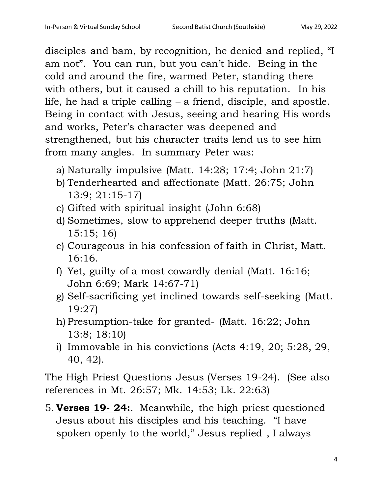disciples and bam, by recognition, he denied and replied, "I am not". You can run, but you can't hide. Being in the cold and around the fire, warmed Peter, standing there with others, but it caused a chill to his reputation. In his life, he had a triple calling – a friend, disciple, and apostle. Being in contact with Jesus, seeing and hearing His words and works, Peter's character was deepened and strengthened, but his character traits lend us to see him from many angles. In summary Peter was:

- a) Naturally impulsive (Matt. 14:28; 17:4; John 21:7)
- b) Tenderhearted and affectionate (Matt. 26:75; John 13:9; 21:15-17)
- c) Gifted with spiritual insight (John 6:68)
- d) Sometimes, slow to apprehend deeper truths (Matt. 15:15; 16)
- e) Courageous in his confession of faith in Christ, Matt. 16:16.
- f) Yet, guilty of a most cowardly denial (Matt. 16:16; John 6:69; Mark 14:67-71)
- g) Self-sacrificing yet inclined towards self-seeking (Matt. 19:27)
- h) Presumption-take for granted- (Matt. 16:22; John 13:8; 18:10)
- i) Immovable in his convictions (Acts 4:19, 20; 5:28, 29, 40, 42).

The High Priest Questions Jesus (Verses 19-24). (See also references in Mt. 26:57; Mk. 14:53; Lk. 22:63)

5. **Verses 19- 24:**. Meanwhile, the high priest questioned Jesus about his disciples and his teaching. "I have spoken openly to the world," Jesus replied , I always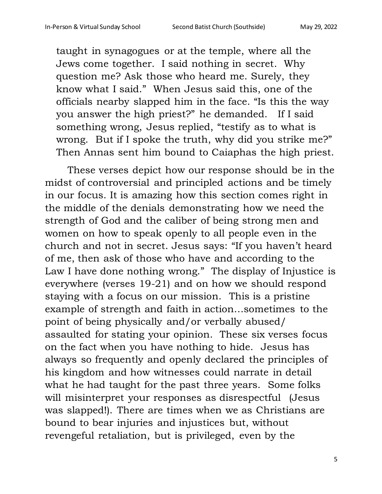taught in synagogues or at the temple, where all the Jews come together. I said nothing in secret. Why question me? Ask those who heard me. Surely, they know what I said." When Jesus said this, one of the officials nearby slapped him in the face. "Is this the way you answer the high priest?" he demanded. If I said something wrong, Jesus replied, "testify as to what is wrong. But if I spoke the truth, why did you strike me?" Then Annas sent him bound to Caiaphas the high priest.

These verses depict how our response should be in the midst of controversial and principled actions and be timely in our focus. It is amazing how this section comes right in the middle of the denials demonstrating how we need the strength of God and the caliber of being strong men and women on how to speak openly to all people even in the church and not in secret. Jesus says: "If you haven't heard of me, then ask of those who have and according to the Law I have done nothing wrong." The display of Injustice is everywhere (verses 19-21) and on how we should respond staying with a focus on our mission. This is a pristine example of strength and faith in action…sometimes to the point of being physically and/or verbally abused/ assaulted for stating your opinion. These six verses focus on the fact when you have nothing to hide. Jesus has always so frequently and openly declared the principles of his kingdom and how witnesses could narrate in detail what he had taught for the past three years. Some folks will misinterpret your responses as disrespectful (Jesus was slapped!). There are times when we as Christians are bound to bear injuries and injustices but, without revengeful retaliation, but is privileged, even by the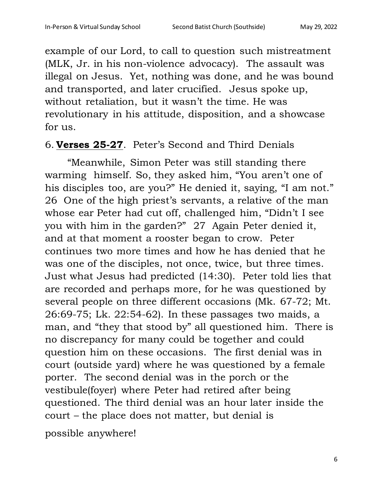example of our Lord, to call to question such mistreatment (MLK, Jr. in his non-violence advocacy). The assault was illegal on Jesus. Yet, nothing was done, and he was bound and transported, and later crucified. Jesus spoke up, without retaliation, but it wasn't the time. He was revolutionary in his attitude, disposition, and a showcase for us.

### 6. **Verses 25-27**. Peter's Second and Third Denials

"Meanwhile, Simon Peter was still standing there warming himself. So, they asked him, "You aren't one of his disciples too, are you?" He denied it, saying, "I am not." 26 One of the high priest's servants, a relative of the man whose ear Peter had cut off, challenged him, "Didn't I see you with him in the garden?" 27 Again Peter denied it, and at that moment a rooster began to crow. Peter continues two more times and how he has denied that he was one of the disciples, not once, twice, but three times. Just what Jesus had predicted (14:30). Peter told lies that are recorded and perhaps more, for he was questioned by several people on three different occasions (Mk. 67-72; Mt. 26:69-75; Lk. 22:54-62). In these passages two maids, a man, and "they that stood by" all questioned him. There is no discrepancy for many could be together and could question him on these occasions. The first denial was in court (outside yard) where he was questioned by a female porter. The second denial was in the porch or the vestibule(foyer) where Peter had retired after being questioned. The third denial was an hour later inside the court – the place does not matter, but denial is

possible anywhere!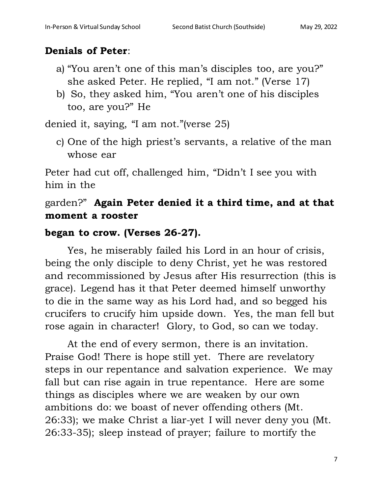# **Denials of Peter**:

- a) "You aren't one of this man's disciples too, are you?" she asked Peter. He replied, "I am not." (Verse 17)
- b) So, they asked him, "You aren't one of his disciples too, are you?" He

denied it, saying, "I am not."(verse 25)

c) One of the high priest's servants, a relative of the man whose ear

Peter had cut off, challenged him, "Didn't I see you with him in the

# garden?" **Again Peter denied it a third time, and at that moment a rooster**

### **began to crow. (Verses 26-27).**

Yes, he miserably failed his Lord in an hour of crisis, being the only disciple to deny Christ, yet he was restored and recommissioned by Jesus after His resurrection (this is grace). Legend has it that Peter deemed himself unworthy to die in the same way as his Lord had, and so begged his crucifers to crucify him upside down. Yes, the man fell but rose again in character! Glory, to God, so can we today.

At the end of every sermon, there is an invitation. Praise God! There is hope still yet. There are revelatory steps in our repentance and salvation experience. We may fall but can rise again in true repentance. Here are some things as disciples where we are weaken by our own ambitions do: we boast of never offending others (Mt. 26:33); we make Christ a liar-yet I will never deny you (Mt. 26:33-35); sleep instead of prayer; failure to mortify the